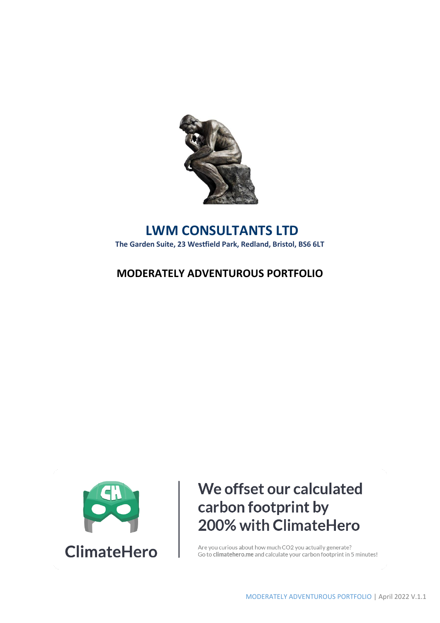

## **LWM CONSULTANTS LTD The Garden Suite, 23 Westfield Park, Redland, Bristol, BS6 6LT**

## **MODERATELY ADVENTUROUS PORTFOLIO**



# We offset our calculated carbon footprint by 200% with ClimateHero

Are you curious about how much CO2 you actually generate? Go to climatehero.me and calculate your carbon footprint in 5 minutes!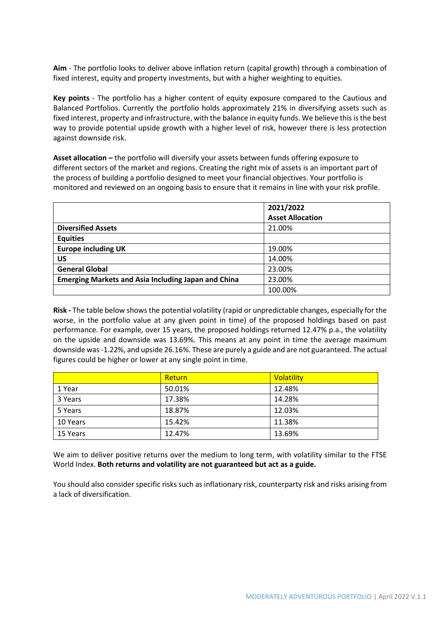**Aim** - The portfolio looks to deliver above inflation return (capital growth) through a combination of fixed interest, equity and property investments, but with a higher weighting to equities.

**Key points** - The portfolio has a higher content of equity exposure compared to the Cautious and Balanced Portfolios. Currently the portfolio holds approximately 21% in diversifying assets such as fixed interest, property and infrastructure, with the balance in equity funds. We believe this is the best way to provide potential upside growth with a higher level of risk, however there is less protection against downside risk.

**Asset allocation –** the portfolio will diversify your assets between funds offering exposure to different sectors of the market and regions. Creating the right mix of assets is an important part of the process of building a portfolio designed to meet your financial objectives. Your portfolio is monitored and reviewed on an ongoing basis to ensure that it remains in line with your risk profile.

|                                                            | 2021/2022               |
|------------------------------------------------------------|-------------------------|
|                                                            | <b>Asset Allocation</b> |
| <b>Diversified Assets</b>                                  | 21.00%                  |
| <b>Equities</b>                                            |                         |
| <b>Europe including UK</b>                                 | 19.00%                  |
| US                                                         | 14.00%                  |
| <b>General Global</b>                                      | 23.00%                  |
| <b>Emerging Markets and Asia Including Japan and China</b> | 23.00%                  |
|                                                            | 100.00%                 |

**Risk -** The table below shows the potential volatility (rapid or unpredictable changes, especially for the worse, in the portfolio value at any given point in time) of the proposed holdings based on past performance. For example, over 15 years, the proposed holdings returned 12.47% p.a., the volatility on the upside and downside was 13.69%. This means at any point in time the average maximum downside was -1.22%, and upside 26.16%. These are purely a guide and are not guaranteed. The actual figures could be higher or lower at any single point in time.

|          | Return | Volatility |
|----------|--------|------------|
| 1 Year   | 50.01% | 12.48%     |
| 3 Years  | 17.38% | 14.28%     |
| 5 Years  | 18.87% | 12.03%     |
| 10 Years | 15.42% | 11.38%     |
| 15 Years | 12.47% | 13.69%     |

We aim to deliver positive returns over the medium to long term, with volatility similar to the FTSE World Index. **Both returns and volatility are not guaranteed but act as a guide.** 

You should also consider specific risks such as inflationary risk, counterparty risk and risks arising from a lack of diversification.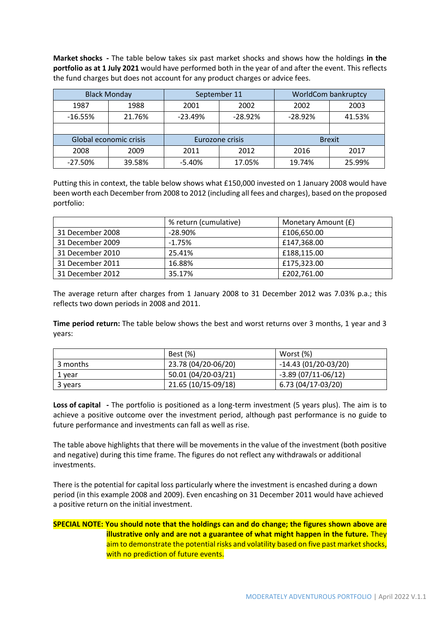**Market shocks -** The table below takes six past market shocks and shows how the holdings **in the portfolio as at 1 July 2021** would have performed both in the year of and after the event. This reflects the fund charges but does not account for any product charges or advice fees.

| <b>Black Monday</b> |                        | September 11 |                        | WorldCom bankruptcy |               |  |  |  |
|---------------------|------------------------|--------------|------------------------|---------------------|---------------|--|--|--|
| 1987                | 1988                   | 2001<br>2002 |                        | 2002                | 2003          |  |  |  |
| $-16.55%$           | 21.76%                 | $-23.49%$    | $-28.92%$<br>$-28.92%$ |                     | 41.53%        |  |  |  |
|                     |                        |              |                        |                     |               |  |  |  |
|                     | Global economic crisis |              | Eurozone crisis        |                     | <b>Brexit</b> |  |  |  |
| 2008                | 2009                   | 2011         | 2012                   | 2016                | 2017          |  |  |  |
| $-27.50%$           | 39.58%                 | $-5.40%$     | 17.05%                 | 19.74%              | 25.99%        |  |  |  |

Putting this in context, the table below shows what £150,000 invested on 1 January 2008 would have been worth each December from 2008 to 2012 (including all fees and charges), based on the proposed portfolio:

|                  | % return (cumulative) | Monetary Amount (£) |
|------------------|-----------------------|---------------------|
| 31 December 2008 | $-28.90%$             | £106,650.00         |
| 31 December 2009 | $-1.75\%$             | £147,368.00         |
| 31 December 2010 | 25.41%                | £188,115.00         |
| 31 December 2011 | 16.88%                | £175,323.00         |
| 31 December 2012 | 35.17%                | £202,761.00         |

The average return after charges from 1 January 2008 to 31 December 2012 was 7.03% p.a.; this reflects two down periods in 2008 and 2011.

**Time period return:** The table below shows the best and worst returns over 3 months, 1 year and 3 years:

|          | Best (%)            | Worst (%)             |
|----------|---------------------|-----------------------|
| 3 months | 23.78 (04/20-06/20) | $-14.43(01/20-03/20)$ |
| 1 year   | 50.01 (04/20-03/21) | $-3.89(07/11-06/12)$  |
| 3 years  | 21.65 (10/15-09/18) | 6.73 (04/17-03/20)    |

**Loss of capital -** The portfolio is positioned as a long-term investment (5 years plus). The aim is to achieve a positive outcome over the investment period, although past performance is no guide to future performance and investments can fall as well as rise.

The table above highlights that there will be movements in the value of the investment (both positive and negative) during this time frame. The figures do not reflect any withdrawals or additional investments.

There is the potential for capital loss particularly where the investment is encashed during a down period (in this example 2008 and 2009). Even encashing on 31 December 2011 would have achieved a positive return on the initial investment.

### **SPECIAL NOTE: You should note that the holdings can and do change; the figures shown above are illustrative only and are not a guarantee of what might happen in the future.** They aim to demonstrate the potential risks and volatility based on five past market shocks, with no prediction of future events.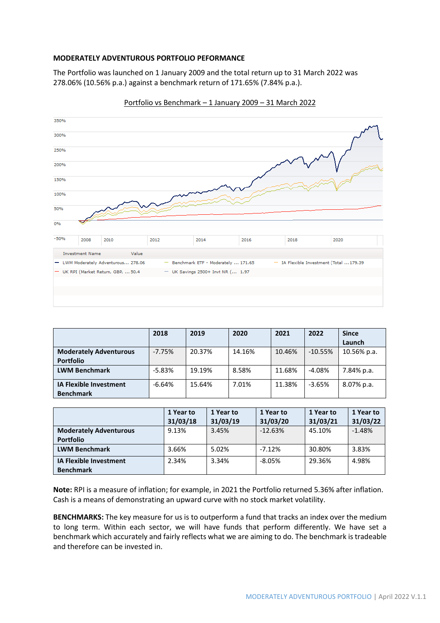#### **MODERATELY ADVENTUROUS PORTFOLIO PEFORMANCE**

The Portfolio was launched on 1 January 2009 and the total return up to 31 March 2022 was 278.06% (10.56% p.a.) against a benchmark return of 171.65% (7.84% p.a.).



Portfolio vs Benchmark – 1 January 2009 – 31 March 2022

|                                                   | 2018     | 2019   | 2020   | 2021   | 2022      | <b>Since</b> |
|---------------------------------------------------|----------|--------|--------|--------|-----------|--------------|
|                                                   |          |        |        |        |           | Launch       |
| <b>Moderately Adventurous</b>                     | $-7.75%$ | 20.37% | 14.16% | 10.46% | $-10.55%$ | 10.56% p.a.  |
| <b>Portfolio</b>                                  |          |        |        |        |           |              |
| <b>LWM Benchmark</b>                              | $-5.83%$ | 19.19% | 8.58%  | 11.68% | $-4.08%$  | 7.84% p.a.   |
| <b>IA Flexible Investment</b><br><b>Benchmark</b> | $-6.64%$ | 15.64% | 7.01%  | 11.38% | $-3.65%$  | 8.07% p.a.   |

|                               | 1 Year to | 1 Year to | 1 Year to | 1 Year to | 1 Year to |
|-------------------------------|-----------|-----------|-----------|-----------|-----------|
|                               | 31/03/18  | 31/03/19  | 31/03/20  | 31/03/21  | 31/03/22  |
| <b>Moderately Adventurous</b> | 9.13%     | 3.45%     | $-12.63%$ | 45.10%    | $-1.48%$  |
| <b>Portfolio</b>              |           |           |           |           |           |
| <b>LWM Benchmark</b>          | 3.66%     | 5.02%     | $-7.12%$  | 30.80%    | 3.83%     |
| <b>IA Flexible Investment</b> | 2.34%     | 3.34%     | $-8.05%$  | 29.36%    | 4.98%     |
| <b>Benchmark</b>              |           |           |           |           |           |

**Note:** RPI is a measure of inflation; for example, in 2021 the Portfolio returned 5.36% after inflation. Cash is a means of demonstrating an upward curve with no stock market volatility.

**BENCHMARKS:** The key measure for us is to outperform a fund that tracks an index over the medium to long term. Within each sector, we will have funds that perform differently. We have set a benchmark which accurately and fairly reflects what we are aiming to do. The benchmark is tradeable and therefore can be invested in.